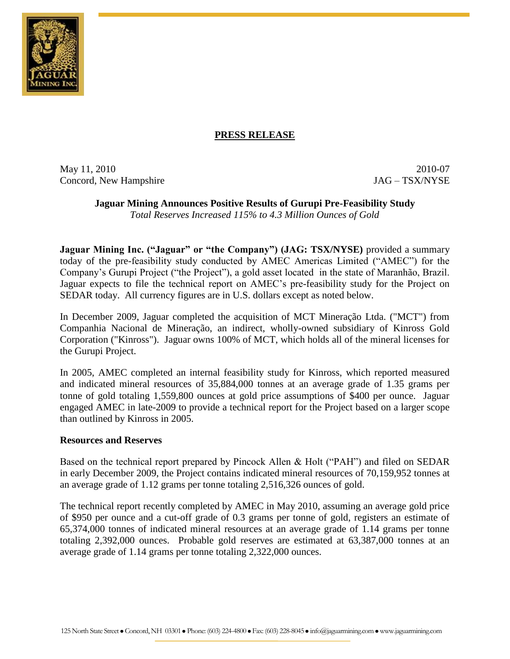

# **PRESS RELEASE**

May 11, 2010 2010-07 Concord, New Hampshire JAG – TSX/NYSE

# **Jaguar Mining Announces Positive Results of Gurupi Pre-Feasibility Study**

*Total Reserves Increased 115% to 4.3 Million Ounces of Gold*

**Jaguar Mining Inc. ("Jaguar" or "the Company") (JAG: TSX/NYSE)** provided a summary today of the pre-feasibility study conducted by AMEC Americas Limited ("AMEC") for the Company's Gurupi Project ("the Project"), a gold asset located in the state of Maranhão, Brazil. Jaguar expects to file the technical report on AMEC's pre-feasibility study for the Project on SEDAR today. All currency figures are in U.S. dollars except as noted below.

In December 2009, Jaguar completed the acquisition of MCT Mineração Ltda. ("MCT") from Companhia Nacional de Mineração, an indirect, wholly-owned subsidiary of Kinross Gold Corporation ("Kinross"). Jaguar owns 100% of MCT, which holds all of the mineral licenses for the Gurupi Project.

In 2005, AMEC completed an internal feasibility study for Kinross, which reported measured and indicated mineral resources of 35,884,000 tonnes at an average grade of 1.35 grams per tonne of gold totaling 1,559,800 ounces at gold price assumptions of \$400 per ounce. Jaguar engaged AMEC in late-2009 to provide a technical report for the Project based on a larger scope than outlined by Kinross in 2005.

### **Resources and Reserves**

Based on the technical report prepared by Pincock Allen & Holt ("PAH") and filed on SEDAR in early December 2009, the Project contains indicated mineral resources of 70,159,952 tonnes at an average grade of 1.12 grams per tonne totaling 2,516,326 ounces of gold.

The technical report recently completed by AMEC in May 2010, assuming an average gold price of \$950 per ounce and a cut-off grade of 0.3 grams per tonne of gold, registers an estimate of 65,374,000 tonnes of indicated mineral resources at an average grade of 1.14 grams per tonne totaling 2,392,000 ounces. Probable gold reserves are estimated at 63,387,000 tonnes at an average grade of 1.14 grams per tonne totaling 2,322,000 ounces.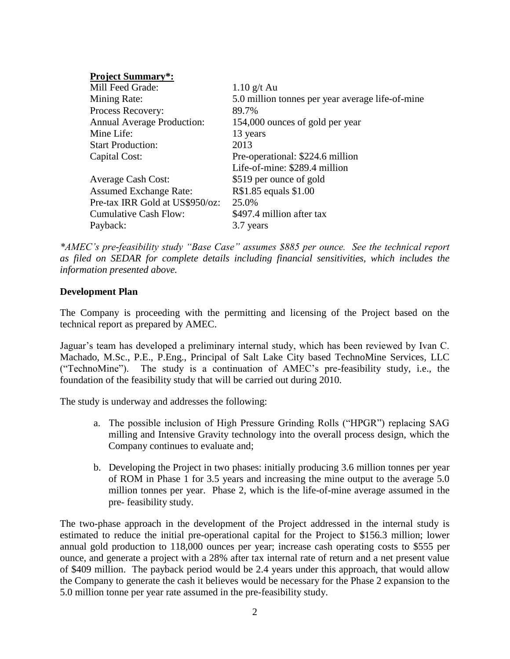| <b>Project Summary*:</b>          |                                                  |
|-----------------------------------|--------------------------------------------------|
| Mill Feed Grade:                  | $1.10$ g/t Au                                    |
| Mining Rate:                      | 5.0 million tonnes per year average life-of-mine |
| Process Recovery:                 | 89.7%                                            |
| <b>Annual Average Production:</b> | 154,000 ounces of gold per year                  |
| Mine Life:                        | 13 years                                         |
| <b>Start Production:</b>          | 2013                                             |
| Capital Cost:                     | Pre-operational: \$224.6 million                 |
|                                   | Life-of-mine: \$289.4 million                    |
| <b>Average Cash Cost:</b>         | \$519 per ounce of gold                          |
| <b>Assumed Exchange Rate:</b>     | R\$1.85 equals \$1.00                            |
| Pre-tax IRR Gold at US\$950/oz:   | 25.0%                                            |
| <b>Cumulative Cash Flow:</b>      | \$497.4 million after tax                        |
| Payback:                          | 3.7 years                                        |

*\*AMEC's pre-feasibility study "Base Case" assumes \$885 per ounce. See the technical report as filed on SEDAR for complete details including financial sensitivities, which includes the information presented above.* 

## **Development Plan**

The Company is proceeding with the permitting and licensing of the Project based on the technical report as prepared by AMEC.

Jaguar's team has developed a preliminary internal study, which has been reviewed by Ivan C. Machado, M.Sc., P.E., P.Eng., Principal of Salt Lake City based TechnoMine Services, LLC ("TechnoMine"). The study is a continuation of AMEC's pre-feasibility study, i.e., the foundation of the feasibility study that will be carried out during 2010.

The study is underway and addresses the following:

- a. The possible inclusion of High Pressure Grinding Rolls ("HPGR") replacing SAG milling and Intensive Gravity technology into the overall process design, which the Company continues to evaluate and;
- b. Developing the Project in two phases: initially producing 3.6 million tonnes per year of ROM in Phase 1 for 3.5 years and increasing the mine output to the average 5.0 million tonnes per year. Phase 2, which is the life-of-mine average assumed in the pre- feasibility study.

The two-phase approach in the development of the Project addressed in the internal study is estimated to reduce the initial pre-operational capital for the Project to \$156.3 million; lower annual gold production to 118,000 ounces per year; increase cash operating costs to \$555 per ounce, and generate a project with a 28% after tax internal rate of return and a net present value of \$409 million. The payback period would be 2.4 years under this approach, that would allow the Company to generate the cash it believes would be necessary for the Phase 2 expansion to the 5.0 million tonne per year rate assumed in the pre-feasibility study.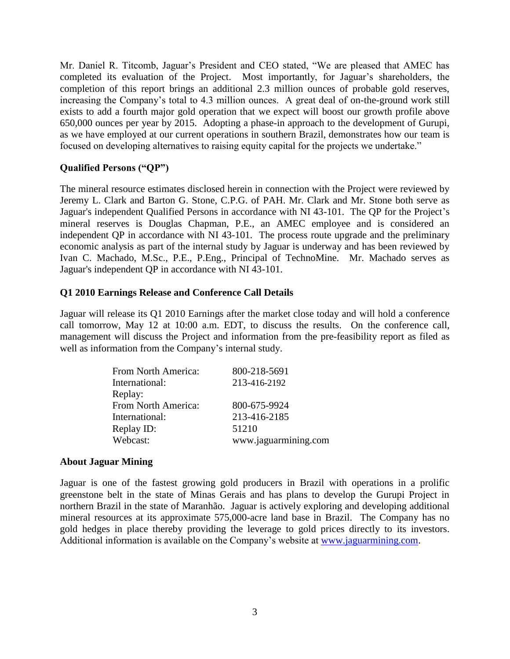Mr. Daniel R. Titcomb, Jaguar's President and CEO stated, "We are pleased that AMEC has completed its evaluation of the Project. Most importantly, for Jaguar's shareholders, the completion of this report brings an additional 2.3 million ounces of probable gold reserves, increasing the Company's total to 4.3 million ounces. A great deal of on-the-ground work still exists to add a fourth major gold operation that we expect will boost our growth profile above 650,000 ounces per year by 2015. Adopting a phase-in approach to the development of Gurupi, as we have employed at our current operations in southern Brazil, demonstrates how our team is focused on developing alternatives to raising equity capital for the projects we undertake."

# **Qualified Persons ("QP")**

The mineral resource estimates disclosed herein in connection with the Project were reviewed by Jeremy L. Clark and Barton G. Stone, C.P.G. of PAH. Mr. Clark and Mr. Stone both serve as Jaguar's independent Qualified Persons in accordance with NI 43-101. The QP for the Project's mineral reserves is Douglas Chapman, P.E., an AMEC employee and is considered an independent QP in accordance with NI 43-101. The process route upgrade and the preliminary economic analysis as part of the internal study by Jaguar is underway and has been reviewed by Ivan C. Machado, M.Sc., P.E., P.Eng., Principal of TechnoMine. Mr. Machado serves as Jaguar's independent QP in accordance with NI 43-101.

# **Q1 2010 Earnings Release and Conference Call Details**

Jaguar will release its Q1 2010 Earnings after the market close today and will hold a conference call tomorrow, May 12 at 10:00 a.m. EDT, to discuss the results. On the conference call, management will discuss the Project and information from the pre-feasibility report as filed as well as information from the Company's internal study.

| From North America: | 800-218-5691         |
|---------------------|----------------------|
| International:      | 213-416-2192         |
| Replay:             |                      |
| From North America: | 800-675-9924         |
| International:      | 213-416-2185         |
| Replay ID:          | 51210                |
| Webcast:            | www.jaguarmining.com |

# **About Jaguar Mining**

Jaguar is one of the fastest growing gold producers in Brazil with operations in a prolific greenstone belt in the state of Minas Gerais and has plans to develop the Gurupi Project in northern Brazil in the state of Maranhão. Jaguar is actively exploring and developing additional mineral resources at its approximate 575,000-acre land base in Brazil. The Company has no gold hedges in place thereby providing the leverage to gold prices directly to its investors. Additional information is available on the Company's website at [www.jaguarmining.com.](http://www.jaguarmining.com/)